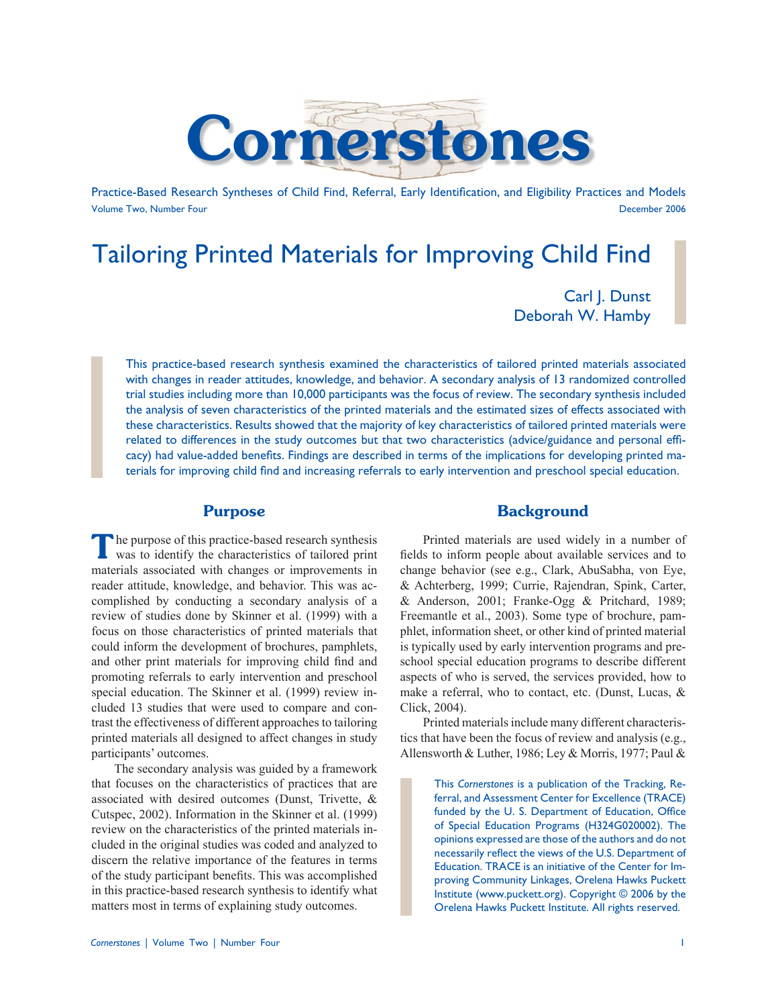

Practice-Based Research Syntheses of Child Find, Referral, Early Identification, and Eligibility Practices and Models Volume Two, Number Four December 2006

# Tailoring Printed Materials for Improving Child Find

Carl J. Dunst Deborah W. Hamby

This practice-based research synthesis examined the characteristics of tailored printed materials associated with changes in reader attitudes, knowledge, and behavior. A secondary analysis of 13 randomized controlled trial studies including more than 10,000 participants was the focus of review. The secondary synthesis included the analysis of seven characteristics of the printed materials and the estimated sizes of effects associated with these characteristics. Results showed that the majority of key characteristics of tailored printed materials were related to differences in the study outcomes but that two characteristics (advice/guidance and personal efficacy) had value-added benefits. Findings are described in terms of the implications for developing printed materials for improving child find and increasing referrals to early intervention and preschool special education.

### **Purpose**

**T**he purpose of this practice-based research synthesis was to identify the characteristics of tailored print materials associated with changes or improvements in reader attitude, knowledge, and behavior. This was accomplished by conducting a secondary analysis of a review of studies done by Skinner et al. (1999) with a focus on those characteristics of printed materials that could inform the development of brochures, pamphlets, and other print materials for improving child find and promoting referrals to early intervention and preschool special education. The Skinner et al. (1999) review included 13 studies that were used to compare and contrast the effectiveness of different approaches to tailoring printed materials all designed to affect changes in study participants' outcomes.

 The secondary analysis was guided by a framework that focuses on the characteristics of practices that are associated with desired outcomes (Dunst, Trivette, & Cutspec, 2002). Information in the Skinner et al. (1999) review on the characteristics of the printed materials included in the original studies was coded and analyzed to discern the relative importance of the features in terms of the study participant benefits. This was accomplished in this practice-based research synthesis to identify what matters most in terms of explaining study outcomes.

## **Background**

 Printed materials are used widely in a number of fields to inform people about available services and to change behavior (see e.g., Clark, AbuSabha, von Eye, & Achterberg, 1999; Currie, Rajendran, Spink, Carter, & Anderson, 2001; Franke-Ogg & Pritchard, 1989; Freemantle et al., 2003). Some type of brochure, pamphlet, information sheet, or other kind of printed material is typically used by early intervention programs and preschool special education programs to describe different aspects of who is served, the services provided, how to make a referral, who to contact, etc. (Dunst, Lucas, & Click, 2004).

 Printed materials include many different characteristics that have been the focus of review and analysis (e.g., Allensworth & Luther, 1986; Ley & Morris, 1977; Paul &

> This *Cornerstones* is a publication of the Tracking, Referral, and Assessment Center for Excellence (TRACE) funded by the U. S. Department of Education, Office of Special Education Programs (H324G020002). The opinions expressed are those of the authors and do not necessarily reflect the views of the U.S. Department of Education. TRACE is an initiative of the Center for Improving Community Linkages, Orelena Hawks Puckett Institute (www.puckett.org). Copyright © 2006 by the Orelena Hawks Puckett Institute. All rights reserved.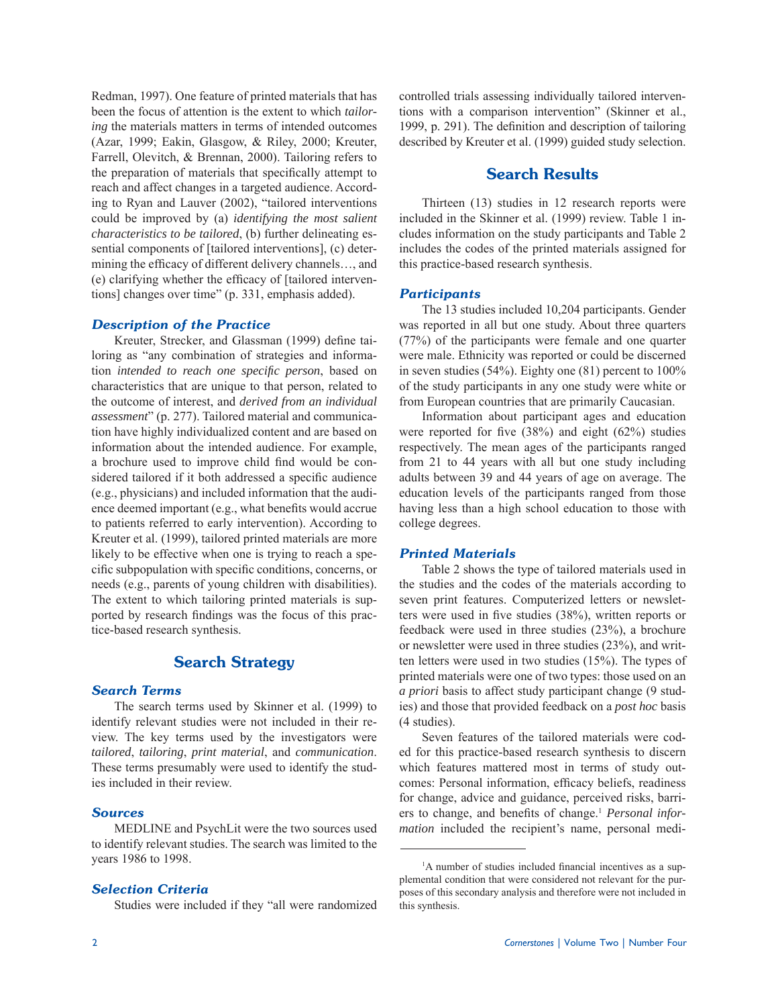Redman, 1997). One feature of printed materials that has been the focus of attention is the extent to which *tailoring* the materials matters in terms of intended outcomes (Azar, 1999; Eakin, Glasgow, & Riley, 2000; Kreuter, Farrell, Olevitch, & Brennan, 2000). Tailoring refers to the preparation of materials that specifically attempt to reach and affect changes in a targeted audience. According to Ryan and Lauver (2002), "tailored interventions could be improved by (a) *identifying the most salient characteristics to be tailored*, (b) further delineating essential components of [tailored interventions], (c) determining the efficacy of different delivery channels..., and (e) clarifying whether the efficacy of [tailored interventions] changes over time" (p. 331, emphasis added).

#### *Description of the Practice*

Kreuter, Strecker, and Glassman (1999) define tailoring as "any combination of strategies and information *intended to reach one specifi c person*, based on characteristics that are unique to that person, related to the outcome of interest, and *derived from an individual assessment*" (p. 277). Tailored material and communication have highly individualized content and are based on information about the intended audience. For example, a brochure used to improve child find would be considered tailored if it both addressed a specific audience (e.g., physicians) and included information that the audience deemed important (e.g., what benefits would accrue to patients referred to early intervention). According to Kreuter et al. (1999), tailored printed materials are more likely to be effective when one is trying to reach a specific subpopulation with specific conditions, concerns, or needs (e.g., parents of young children with disabilities). The extent to which tailoring printed materials is supported by research findings was the focus of this practice-based research synthesis.

# **Search Strategy**

#### *Search Terms*

 The search terms used by Skinner et al. (1999) to identify relevant studies were not included in their review. The key terms used by the investigators were *tailored*, *tailoring*, *print material*, and *communication*. These terms presumably were used to identify the studies included in their review.

#### *Sources*

 MEDLINE and PsychLit were the two sources used to identify relevant studies. The search was limited to the years 1986 to 1998.

#### *Selection Criteria*

Studies were included if they "all were randomized

controlled trials assessing individually tailored interventions with a comparison intervention" (Skinner et al., 1999, p. 291). The definition and description of tailoring described by Kreuter et al. (1999) guided study selection.

## **Search Results**

 Thirteen (13) studies in 12 research reports were included in the Skinner et al. (1999) review. Table 1 includes information on the study participants and Table 2 includes the codes of the printed materials assigned for this practice-based research synthesis.

#### *Participants*

 The 13 studies included 10,204 participants. Gender was reported in all but one study. About three quarters (77%) of the participants were female and one quarter were male. Ethnicity was reported or could be discerned in seven studies (54%). Eighty one (81) percent to 100% of the study participants in any one study were white or from European countries that are primarily Caucasian.

 Information about participant ages and education were reported for five  $(38%)$  and eight  $(62%)$  studies respectively. The mean ages of the participants ranged from 21 to 44 years with all but one study including adults between 39 and 44 years of age on average. The education levels of the participants ranged from those having less than a high school education to those with college degrees.

#### *Printed Materials*

 Table 2 shows the type of tailored materials used in the studies and the codes of the materials according to seven print features. Computerized letters or newsletters were used in five studies (38%), written reports or feedback were used in three studies (23%), a brochure or newsletter were used in three studies (23%), and written letters were used in two studies (15%). The types of printed materials were one of two types: those used on an *a priori* basis to affect study participant change (9 studies) and those that provided feedback on a *post hoc* basis (4 studies).

 Seven features of the tailored materials were coded for this practice-based research synthesis to discern which features mattered most in terms of study outcomes: Personal information, efficacy beliefs, readiness for change, advice and guidance, perceived risks, barriers to change, and benefits of change.<sup>1</sup> *Personal information* included the recipient's name, personal medi-

<sup>&</sup>lt;sup>1</sup>A number of studies included financial incentives as a supplemental condition that were considered not relevant for the purposes of this secondary analysis and therefore were not included in this synthesis.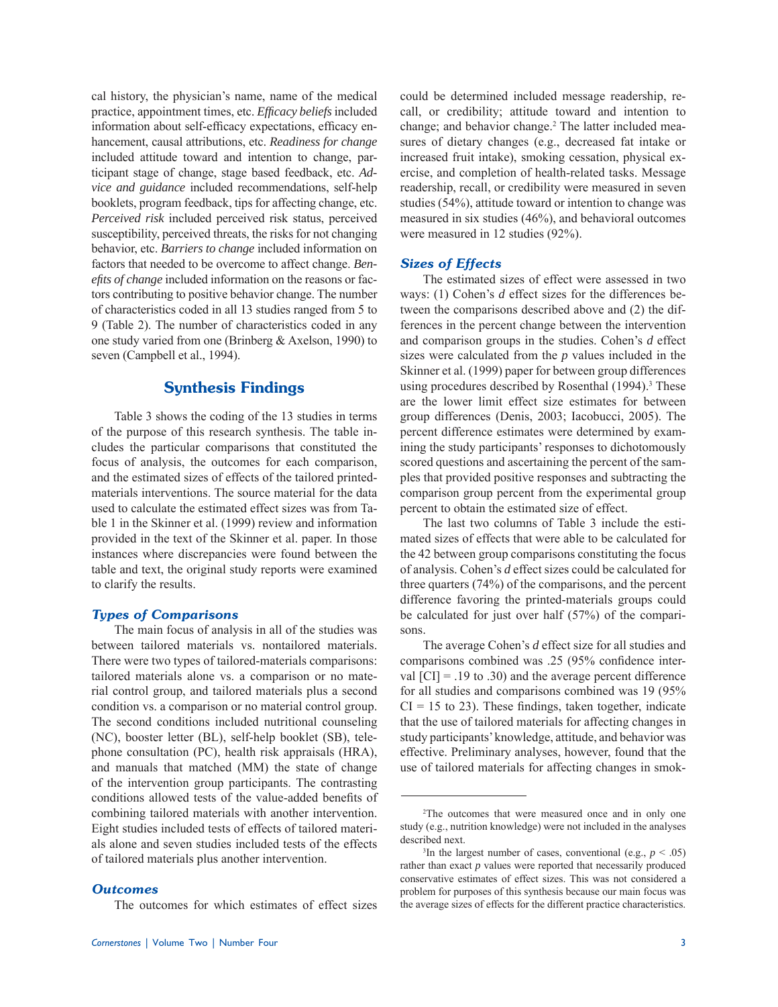cal history, the physician's name, name of the medical practice, appointment times, etc. *Efficacy beliefs* included information about self-efficacy expectations, efficacy enhancement, causal attributions, etc. *Readiness for change* included attitude toward and intention to change, participant stage of change, stage based feedback, etc. *Advice and guidance* included recommendations, self-help booklets, program feedback, tips for affecting change, etc. *Perceived risk* included perceived risk status, perceived susceptibility, perceived threats, the risks for not changing behavior, etc. *Barriers to change* included information on factors that needed to be overcome to affect change. *Benefi ts of change* included information on the reasons or factors contributing to positive behavior change. The number of characteristics coded in all 13 studies ranged from 5 to 9 (Table 2). The number of characteristics coded in any one study varied from one (Brinberg & Axelson, 1990) to seven (Campbell et al., 1994).

# **Synthesis Findings**

 Table 3 shows the coding of the 13 studies in terms of the purpose of this research synthesis. The table includes the particular comparisons that constituted the focus of analysis, the outcomes for each comparison, and the estimated sizes of effects of the tailored printedmaterials interventions. The source material for the data used to calculate the estimated effect sizes was from Table 1 in the Skinner et al. (1999) review and information provided in the text of the Skinner et al. paper. In those instances where discrepancies were found between the table and text, the original study reports were examined to clarify the results.

#### *Types of Comparisons*

 The main focus of analysis in all of the studies was between tailored materials vs. nontailored materials. There were two types of tailored-materials comparisons: tailored materials alone vs. a comparison or no material control group, and tailored materials plus a second condition vs. a comparison or no material control group. The second conditions included nutritional counseling (NC), booster letter (BL), self-help booklet (SB), telephone consultation (PC), health risk appraisals (HRA), and manuals that matched (MM) the state of change of the intervention group participants. The contrasting conditions allowed tests of the value-added benefits of combining tailored materials with another intervention. Eight studies included tests of effects of tailored materials alone and seven studies included tests of the effects of tailored materials plus another intervention.

#### *Outcomes*

The outcomes for which estimates of effect sizes

could be determined included message readership, recall, or credibility; attitude toward and intention to change; and behavior change.<sup>2</sup> The latter included measures of dietary changes (e.g., decreased fat intake or increased fruit intake), smoking cessation, physical exercise, and completion of health-related tasks. Message readership, recall, or credibility were measured in seven studies (54%), attitude toward or intention to change was measured in six studies (46%), and behavioral outcomes were measured in 12 studies (92%).

#### *Sizes of Effects*

 The estimated sizes of effect were assessed in two ways: (1) Cohen's *d* effect sizes for the differences between the comparisons described above and (2) the differences in the percent change between the intervention and comparison groups in the studies. Cohen's *d* effect sizes were calculated from the *p* values included in the Skinner et al. (1999) paper for between group differences using procedures described by Rosenthal (1994).<sup>3</sup> These are the lower limit effect size estimates for between group differences (Denis, 2003; Iacobucci, 2005). The percent difference estimates were determined by examining the study participants' responses to dichotomously scored questions and ascertaining the percent of the samples that provided positive responses and subtracting the comparison group percent from the experimental group percent to obtain the estimated size of effect.

 The last two columns of Table 3 include the estimated sizes of effects that were able to be calculated for the 42 between group comparisons constituting the focus of analysis. Cohen's *d* effect sizes could be calculated for three quarters (74%) of the comparisons, and the percent difference favoring the printed-materials groups could be calculated for just over half (57%) of the comparisons.

 The average Cohen's *d* effect size for all studies and comparisons combined was .25 (95% confidence interval  $\text{[CI]} = .19$  to .30) and the average percent difference for all studies and comparisons combined was 19 (95%  $CI = 15$  to 23). These findings, taken together, indicate that the use of tailored materials for affecting changes in study participants' knowledge, attitude, and behavior was effective. Preliminary analyses, however, found that the use of tailored materials for affecting changes in smok-

 <sup>2</sup>The outcomes that were measured once and in only one study (e.g., nutrition knowledge) were not included in the analyses described next.

<sup>&</sup>lt;sup>3</sup>In the largest number of cases, conventional (e.g.,  $p < .05$ ) rather than exact *p* values were reported that necessarily produced conservative estimates of effect sizes. This was not considered a problem for purposes of this synthesis because our main focus was the average sizes of effects for the different practice characteristics.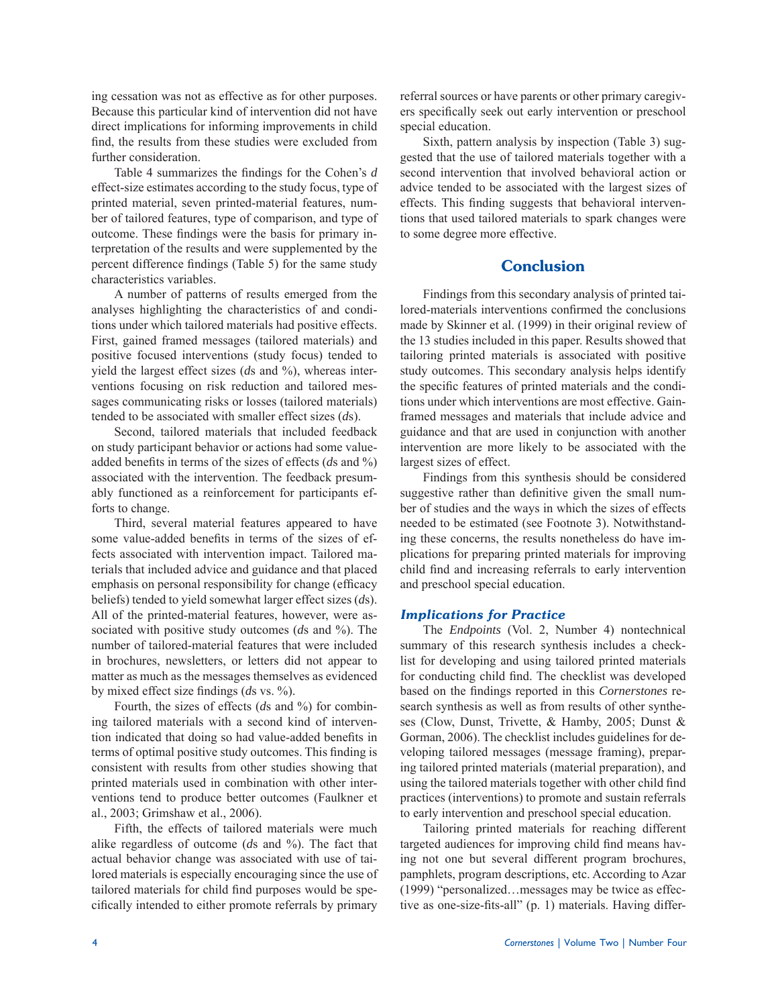ing cessation was not as effective as for other purposes. Because this particular kind of intervention did not have direct implications for informing improvements in child find, the results from these studies were excluded from further consideration.

Table 4 summarizes the findings for the Cohen's *d* effect-size estimates according to the study focus, type of printed material, seven printed-material features, number of tailored features, type of comparison, and type of outcome. These findings were the basis for primary interpretation of the results and were supplemented by the percent difference findings (Table 5) for the same study characteristics variables.

 A number of patterns of results emerged from the analyses highlighting the characteristics of and conditions under which tailored materials had positive effects. First, gained framed messages (tailored materials) and positive focused interventions (study focus) tended to yield the largest effect sizes (*ds* and %), whereas interventions focusing on risk reduction and tailored messages communicating risks or losses (tailored materials) tended to be associated with smaller effect sizes (*d*s).

 Second, tailored materials that included feedback on study participant behavior or actions had some valueadded benefits in terms of the sizes of effects (*ds* and %) associated with the intervention. The feedback presumably functioned as a reinforcement for participants efforts to change.

 Third, several material features appeared to have some value-added benefits in terms of the sizes of effects associated with intervention impact. Tailored materials that included advice and guidance and that placed emphasis on personal responsibility for change (efficacy beliefs) tended to yield somewhat larger effect sizes (*d*s). All of the printed-material features, however, were associated with positive study outcomes (*d*s and %). The number of tailored-material features that were included in brochures, newsletters, or letters did not appear to matter as much as the messages themselves as evidenced by mixed effect size findings (*ds* vs. %).

Fourth, the sizes of effects (*ds* and %) for combining tailored materials with a second kind of intervention indicated that doing so had value-added benefits in terms of optimal positive study outcomes. This finding is consistent with results from other studies showing that printed materials used in combination with other interventions tend to produce better outcomes (Faulkner et al., 2003; Grimshaw et al., 2006).

 Fifth, the effects of tailored materials were much alike regardless of outcome (*d*s and %). The fact that actual behavior change was associated with use of tailored materials is especially encouraging since the use of tailored materials for child find purposes would be specifically intended to either promote referrals by primary referral sources or have parents or other primary caregivers specifically seek out early intervention or preschool special education.

 Sixth, pattern analysis by inspection (Table 3) suggested that the use of tailored materials together with a second intervention that involved behavioral action or advice tended to be associated with the largest sizes of effects. This finding suggests that behavioral interventions that used tailored materials to spark changes were to some degree more effective.

# **Conclusion**

 Findings from this secondary analysis of printed tailored-materials interventions confirmed the conclusions made by Skinner et al. (1999) in their original review of the 13 studies included in this paper. Results showed that tailoring printed materials is associated with positive study outcomes. This secondary analysis helps identify the specific features of printed materials and the conditions under which interventions are most effective. Gainframed messages and materials that include advice and guidance and that are used in conjunction with another intervention are more likely to be associated with the largest sizes of effect.

 Findings from this synthesis should be considered suggestive rather than definitive given the small number of studies and the ways in which the sizes of effects needed to be estimated (see Footnote 3). Notwithstanding these concerns, the results nonetheless do have implications for preparing printed materials for improving child find and increasing referrals to early intervention and preschool special education.

#### *Implications for Practice*

 The *Endpoints* (Vol. 2, Number 4) nontechnical summary of this research synthesis includes a checklist for developing and using tailored printed materials for conducting child find. The checklist was developed based on the findings reported in this *Cornerstones* research synthesis as well as from results of other syntheses (Clow, Dunst, Trivette, & Hamby, 2005; Dunst & Gorman, 2006). The checklist includes guidelines for developing tailored messages (message framing), preparing tailored printed materials (material preparation), and using the tailored materials together with other child find practices (interventions) to promote and sustain referrals to early intervention and preschool special education.

 Tailoring printed materials for reaching different targeted audiences for improving child find means having not one but several different program brochures, pamphlets, program descriptions, etc. According to Azar (1999) "personalized…messages may be twice as effective as one-size-fits-all" (p. 1) materials. Having differ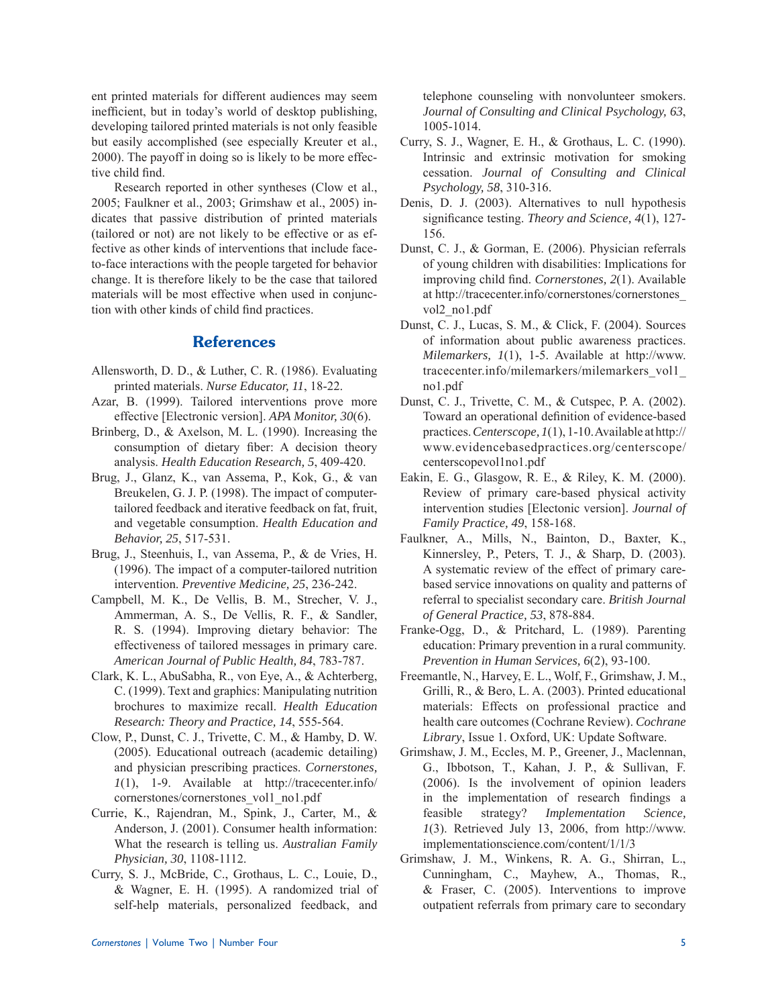ent printed materials for different audiences may seem inefficient, but in today's world of desktop publishing, developing tailored printed materials is not only feasible but easily accomplished (see especially Kreuter et al., 2000). The payoff in doing so is likely to be more effective child find.

 Research reported in other syntheses (Clow et al., 2005; Faulkner et al., 2003; Grimshaw et al., 2005) indicates that passive distribution of printed materials (tailored or not) are not likely to be effective or as effective as other kinds of interventions that include faceto-face interactions with the people targeted for behavior change. It is therefore likely to be the case that tailored materials will be most effective when used in conjunction with other kinds of child find practices.

# **References**

- Allensworth, D. D., & Luther, C. R. (1986). Evaluating printed materials. *Nurse Educator, 11*, 18-22.
- Azar, B. (1999). Tailored interventions prove more effective [Electronic version]. *APA Monitor, 30*(6).
- Brinberg, D., & Axelson, M. L. (1990). Increasing the consumption of dietary fiber: A decision theory analysis. *Health Education Research, 5*, 409-420.
- Brug, J., Glanz, K., van Assema, P., Kok, G., & van Breukelen, G. J. P. (1998). The impact of computertailored feedback and iterative feedback on fat, fruit, and vegetable consumption. *Health Education and Behavior, 25*, 517-531.
- Brug, J., Steenhuis, I., van Assema, P., & de Vries, H. (1996). The impact of a computer-tailored nutrition intervention. *Preventive Medicine, 25*, 236-242.
- Campbell, M. K., De Vellis, B. M., Strecher, V. J., Ammerman, A. S., De Vellis, R. F., & Sandler, R. S. (1994). Improving dietary behavior: The effectiveness of tailored messages in primary care. *American Journal of Public Health, 84*, 783-787.
- Clark, K. L., AbuSabha, R., von Eye, A., & Achterberg, C. (1999). Text and graphics: Manipulating nutrition brochures to maximize recall. *Health Education Research: Theory and Practice, 14*, 555-564.
- Clow, P., Dunst, C. J., Trivette, C. M., & Hamby, D. W. (2005). Educational outreach (academic detailing) and physician prescribing practices. *Cornerstones, 1*(1), 1-9. Available at http://tracecenter.info/ cornerstones/cornerstones\_vol1\_no1.pdf
- Currie, K., Rajendran, M., Spink, J., Carter, M., & Anderson, J. (2001). Consumer health information: What the research is telling us. *Australian Family Physician, 30*, 1108-1112.
- Curry, S. J., McBride, C., Grothaus, L. C., Louie, D., & Wagner, E. H. (1995). A randomized trial of self-help materials, personalized feedback, and

telephone counseling with nonvolunteer smokers. *Journal of Consulting and Clinical Psychology, 63*, 1005-1014.

- Curry, S. J., Wagner, E. H., & Grothaus, L. C. (1990). Intrinsic and extrinsic motivation for smoking cessation. *Journal of Consulting and Clinical Psychology, 58*, 310-316.
- Denis, D. J. (2003). Alternatives to null hypothesis significance testing. *Theory and Science*, 4(1), 127-156.
- Dunst, C. J., & Gorman, E. (2006). Physician referrals of young children with disabilities: Implications for improving child find. *Cornerstones*, 2(1). Available at http://tracecenter.info/cornerstones/cornerstones\_ vol2\_no1.pdf
- Dunst, C. J., Lucas, S. M., & Click, F. (2004). Sources of information about public awareness practices. *Milemarkers, 1*(1), 1-5. Available at http://www. tracecenter.info/milemarkers/milemarkers\_vol1\_ no1.pdf
- Dunst, C. J., Trivette, C. M., & Cutspec, P. A. (2002). Toward an operational definition of evidence-based practices. *Centerscope, 1*(1), 1-10. Available at http:// www.evidencebasedpractices.org/centerscope/ centerscopevol1no1.pdf
- Eakin, E. G., Glasgow, R. E., & Riley, K. M. (2000). Review of primary care-based physical activity intervention studies [Electonic version]. *Journal of Family Practice, 49*, 158-168.
- Faulkner, A., Mills, N., Bainton, D., Baxter, K., Kinnersley, P., Peters, T. J., & Sharp, D. (2003). A systematic review of the effect of primary carebased service innovations on quality and patterns of referral to specialist secondary care. *British Journal of General Practice, 53*, 878-884.
- Franke-Ogg, D., & Pritchard, L. (1989). Parenting education: Primary prevention in a rural community. *Prevention in Human Services, 6*(2), 93-100.
- Freemantle, N., Harvey, E. L., Wolf, F., Grimshaw, J. M., Grilli, R., & Bero, L. A. (2003). Printed educational materials: Effects on professional practice and health care outcomes (Cochrane Review). *Cochrane Library*, Issue 1. Oxford, UK: Update Software.
- Grimshaw, J. M., Eccles, M. P., Greener, J., Maclennan, G., Ibbotson, T., Kahan, J. P., & Sullivan, F. (2006). Is the involvement of opinion leaders in the implementation of research findings a feasible strategy? *Implementation Science, 1*(3). Retrieved July 13, 2006, from http://www. implementationscience.com/content/1/1/3
- Grimshaw, J. M., Winkens, R. A. G., Shirran, L., Cunningham, C., Mayhew, A., Thomas, R., & Fraser, C. (2005). Interventions to improve outpatient referrals from primary care to secondary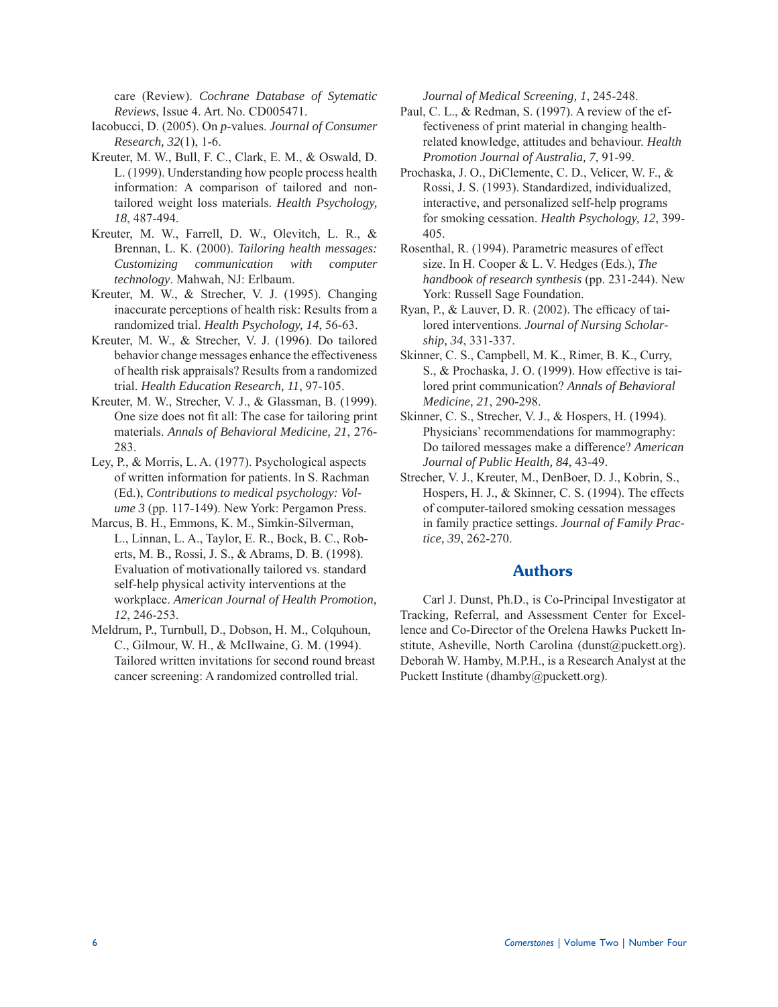care (Review). *Cochrane Database of Sytematic Reviews*, Issue 4. Art. No. CD005471.

- Iacobucci, D. (2005). On *p*-values. *Journal of Consumer Research, 32*(1), 1-6.
- Kreuter, M. W., Bull, F. C., Clark, E. M., & Oswald, D. L. (1999). Understanding how people process health information: A comparison of tailored and nontailored weight loss materials. *Health Psychology, 18*, 487-494.
- Kreuter, M. W., Farrell, D. W., Olevitch, L. R., & Brennan, L. K. (2000). *Tailoring health messages: Customizing communication with computer technology*. Mahwah, NJ: Erlbaum.
- Kreuter, M. W., & Strecher, V. J. (1995). Changing inaccurate perceptions of health risk: Results from a randomized trial. *Health Psychology, 14*, 56-63.
- Kreuter, M. W., & Strecher, V. J. (1996). Do tailored behavior change messages enhance the effectiveness of health risk appraisals? Results from a randomized trial. *Health Education Research, 11*, 97-105.
- Kreuter, M. W., Strecher, V. J., & Glassman, B. (1999). One size does not fit all: The case for tailoring print materials. *Annals of Behavioral Medicine, 21*, 276- 283.
- Ley, P., & Morris, L. A. (1977). Psychological aspects of written information for patients. In S. Rachman (Ed.), *Contributions to medical psychology: Volume 3* (pp. 117-149). New York: Pergamon Press.
- Marcus, B. H., Emmons, K. M., Simkin-Silverman, L., Linnan, L. A., Taylor, E. R., Bock, B. C., Roberts, M. B., Rossi, J. S., & Abrams, D. B. (1998). Evaluation of motivationally tailored vs. standard self-help physical activity interventions at the workplace. *American Journal of Health Promotion, 12*, 246-253.
- Meldrum, P., Turnbull, D., Dobson, H. M., Colquhoun, C., Gilmour, W. H., & McIlwaine, G. M. (1994). Tailored written invitations for second round breast cancer screening: A randomized controlled trial.

*Journal of Medical Screening, 1*, 245-248.

- Paul, C. L., & Redman, S. (1997). A review of the effectiveness of print material in changing healthrelated knowledge, attitudes and behaviour. *Health Promotion Journal of Australia, 7*, 91-99.
- Prochaska, J. O., DiClemente, C. D., Velicer, W. F., & Rossi, J. S. (1993). Standardized, individualized, interactive, and personalized self-help programs for smoking cessation. *Health Psychology, 12*, 399- 405.
- Rosenthal, R. (1994). Parametric measures of effect size. In H. Cooper & L. V. Hedges (Eds.), *The handbook of research synthesis* (pp. 231-244). New York: Russell Sage Foundation.
- Ryan, P.,  $&$  Lauver, D. R. (2002). The efficacy of tailored interventions. *Journal of Nursing Scholarship, 34*, 331-337.
- Skinner, C. S., Campbell, M. K., Rimer, B. K., Curry, S., & Prochaska, J. O. (1999). How effective is tailored print communication? *Annals of Behavioral Medicine, 21*, 290-298.
- Skinner, C. S., Strecher, V. J., & Hospers, H. (1994). Physicians' recommendations for mammography: Do tailored messages make a difference? *American Journal of Public Health, 84*, 43-49.
- Strecher, V. J., Kreuter, M., DenBoer, D. J., Kobrin, S., Hospers, H. J., & Skinner, C. S. (1994). The effects of computer-tailored smoking cessation messages in family practice settings. *Journal of Family Practice, 39*, 262-270.

## **Authors**

 Carl J. Dunst, Ph.D., is Co-Principal Investigator at Tracking, Referral, and Assessment Center for Excellence and Co-Director of the Orelena Hawks Puckett Institute, Asheville, North Carolina (dunst@puckett.org). Deborah W. Hamby, M.P.H., is a Research Analyst at the Puckett Institute (dhamby@puckett.org).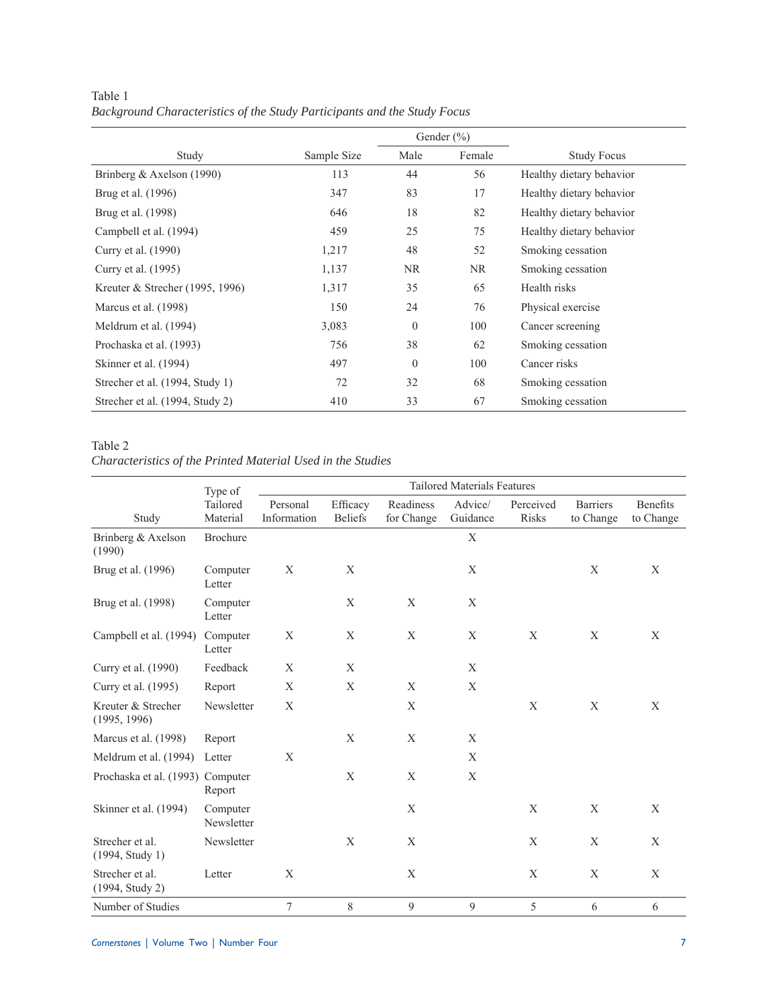|                                   |             |                | Gender $(\% )$ |                          |
|-----------------------------------|-------------|----------------|----------------|--------------------------|
| Study                             | Sample Size | Male           | Female         | <b>Study Focus</b>       |
| Brinberg & Axelson $(1990)$       | 113         | 44             | 56             | Healthy dietary behavior |
| Brug et al. (1996)                | 347         | 83             | 17             | Healthy dietary behavior |
| Brug et al. (1998)                | 646         | 18             | 82             | Healthy dietary behavior |
| Campbell et al. (1994)            | 459         | 25             | 75             | Healthy dietary behavior |
| Curry et al. (1990)               | 1,217       | 48             | 52             | Smoking cessation        |
| Curry et al. (1995)               | 1,137       | NR             | NR.            | Smoking cessation        |
| Kreuter & Strecher $(1995, 1996)$ | 1,317       | 35             | 65             | Health risks             |
| Marcus et al. (1998)              | 150         | 24             | 76             | Physical exercise        |
| Meldrum et al. (1994)             | 3,083       | $\overline{0}$ | 100            | Cancer screening         |
| Prochaska et al. (1993)           | 756         | 38             | 62             | Smoking cessation        |
| Skinner et al. (1994)             | 497         | $\mathbf{0}$   | 100            | Cancer risks             |
| Strecher et al. (1994, Study 1)   | 72          | 32             | 68             | Smoking cessation        |
| Strecher et al. (1994, Study 2)   | 410         | 33             | 67             | Smoking cessation        |

Table 1 *Background Characteristics of the Study Participants and the Study Focus*

## Table 2

*Characteristics of the Printed Material Used in the Studies*

|                                    | Type of                | <b>Tailored Materials Features</b> |                            |                         |                     |                    |                              |                              |  |  |
|------------------------------------|------------------------|------------------------------------|----------------------------|-------------------------|---------------------|--------------------|------------------------------|------------------------------|--|--|
| Study                              | Tailored<br>Material   | Personal<br>Information            | Efficacy<br><b>Beliefs</b> | Readiness<br>for Change | Advice/<br>Guidance | Perceived<br>Risks | <b>Barriers</b><br>to Change | <b>Benefits</b><br>to Change |  |  |
| Brinberg & Axelson<br>(1990)       | Brochure               |                                    |                            |                         | X                   |                    |                              |                              |  |  |
| Brug et al. (1996)                 | Computer<br>Letter     | $\mathbf X$                        | X                          |                         | $\mathbf X$         |                    | X                            | X                            |  |  |
| Brug et al. (1998)                 | Computer<br>Letter     |                                    | X                          | X                       | X                   |                    |                              |                              |  |  |
| Campbell et al. (1994)             | Computer<br>Letter     | X                                  | X                          | X                       | X                   | X                  | X                            | X                            |  |  |
| Curry et al. (1990)                | Feedback               | X                                  | X                          |                         | X                   |                    |                              |                              |  |  |
| Curry et al. (1995)                | Report                 | $\mathbf X$                        | X                          | $\mathbf X$             | X                   |                    |                              |                              |  |  |
| Kreuter & Strecher<br>(1995, 1996) | Newsletter             | X                                  |                            | $\mathbf X$             |                     | $\mathbf X$        | X                            | X                            |  |  |
| Marcus et al. (1998)               | Report                 |                                    | $\mathbf X$                | $\mathbf X$             | $\mathbf X$         |                    |                              |                              |  |  |
| Meldrum et al. (1994)              | Letter                 | X                                  |                            |                         | $\mathbf X$         |                    |                              |                              |  |  |
| Prochaska et al. (1993) Computer   | Report                 |                                    | X                          | X                       | X                   |                    |                              |                              |  |  |
| Skinner et al. (1994)              | Computer<br>Newsletter |                                    |                            | $\mathbf X$             |                     | $\mathbf X$        | $\mathbf X$                  | X                            |  |  |
| Strecher et al.<br>(1994, Study 1) | Newsletter             |                                    | X                          | X                       |                     | X                  | X                            | X                            |  |  |
| Strecher et al.<br>(1994, Study 2) | Letter                 | X                                  |                            | $\mathbf X$             |                     | $\mathbf X$        | X                            | X                            |  |  |
| Number of Studies                  |                        | 7                                  | 8                          | 9                       | 9                   | 5                  | 6                            | 6                            |  |  |

*Cornerstones* | Volume Two | Number Four 7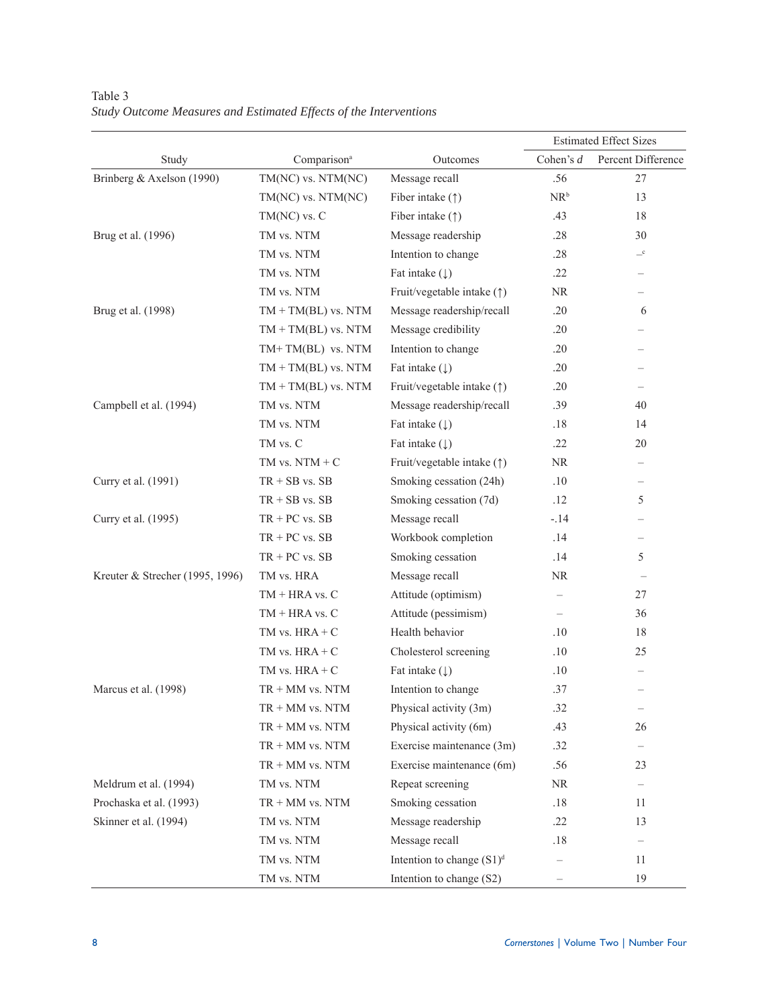|                                 |                         |                              | <b>Estimated Effect Sizes</b> |                          |
|---------------------------------|-------------------------|------------------------------|-------------------------------|--------------------------|
| Study                           | Comparison <sup>a</sup> | Outcomes                     | Cohen's $d$                   | Percent Difference       |
| Brinberg & Axelson (1990)       | TM(NC) vs. NTM(NC)      | Message recall               | .56                           | 27                       |
|                                 | TM(NC) vs. NTM(NC)      | Fiber intake $(\uparrow)$    | $NR^b$                        | 13                       |
|                                 | $TM(NC)$ vs. $C$        | Fiber intake $(†)$           | .43                           | 18                       |
| Brug et al. (1996)              | TM vs. NTM              | Message readership           | .28                           | 30                       |
|                                 | TM vs. NTM              | Intention to change          | .28                           | $-{\rm c}$               |
|                                 | TM vs. NTM              | Fat intake $(\downarrow)$    | .22                           | $\overline{\phantom{0}}$ |
|                                 | TM vs. NTM              | Fruit/vegetable intake (1)   | <b>NR</b>                     | $\overline{\phantom{0}}$ |
| Brug et al. (1998)              | $TM + TM(BL)$ vs. NTM   | Message readership/recall    | .20                           | 6                        |
|                                 | $TM + TM(BL)$ vs. NTM   | Message credibility          | .20                           |                          |
|                                 | TM+TM(BL) vs. NTM       | Intention to change          | .20                           |                          |
|                                 | $TM + TM(BL)$ vs. NTM   | Fat intake $(\downarrow)$    | .20                           |                          |
|                                 | $TM + TM(BL)$ vs. NTM   | Fruit/vegetable intake (1)   | .20                           |                          |
| Campbell et al. (1994)          | TM vs. NTM              | Message readership/recall    | .39                           | 40                       |
|                                 | TM vs. NTM              | Fat intake $(\downarrow)$    | .18                           | 14                       |
|                                 | TM vs. C                | Fat intake $(\downarrow)$    | .22                           | 20                       |
|                                 | TM vs. $NTM + C$        | Fruit/vegetable intake (1)   | <b>NR</b>                     | $\overline{\phantom{0}}$ |
| Curry et al. (1991)             | $TR + SB$ vs. $SB$      | Smoking cessation (24h)      | .10                           | $\overline{\phantom{0}}$ |
|                                 | $TR + SB$ vs. $SB$      | Smoking cessation (7d)       | .12                           | 5                        |
| Curry et al. (1995)             | $TR + PC$ vs. $SB$      | Message recall               | $-.14$                        |                          |
|                                 | $TR + PC$ vs. $SB$      | Workbook completion          | .14                           | $\overline{\phantom{0}}$ |
|                                 | $TR + PC$ vs. $SB$      | Smoking cessation            | .14                           | 5                        |
| Kreuter & Strecher (1995, 1996) | TM vs. HRA              | Message recall               | <b>NR</b>                     | $\qquad \qquad -$        |
|                                 | $TM + HRA$ vs. $C$      | Attitude (optimism)          |                               | 27                       |
|                                 | $TM + HRA$ vs. $C$      | Attitude (pessimism)         |                               | 36                       |
|                                 | TM vs. $HRA + C$        | Health behavior              | .10                           | 18                       |
|                                 | TM vs. $HRA + C$        | Cholesterol screening        | .10                           | 25                       |
|                                 | TM vs. $HRA + C$        | Fat intake $(\downarrow)$    | .10                           | $\overline{\phantom{0}}$ |
| Marcus et al. (1998)            | $TR + MM$ vs. NTM       | Intention to change          | .37                           |                          |
|                                 | $TR + MM$ vs. NTM       | Physical activity (3m)       | .32                           | $\overline{\phantom{m}}$ |
|                                 | $TR + MM$ vs. $NTM$     | Physical activity (6m)       | .43                           | 26                       |
|                                 | $TR + MM$ vs. $NTM$     | Exercise maintenance (3m)    | .32                           |                          |
|                                 | $TR + MM$ vs. $NTM$     | Exercise maintenance (6m)    | .56                           | 23                       |
| Meldrum et al. (1994)           | TM vs. NTM              | Repeat screening             | <b>NR</b>                     | $\qquad \qquad -$        |
| Prochaska et al. (1993)         | $TR + MM$ vs. $NTM$     | Smoking cessation            | .18                           | 11                       |
| Skinner et al. (1994)           | TM vs. NTM              | Message readership           | .22                           | 13                       |
|                                 | TM vs. NTM              | Message recall               | .18                           |                          |
|                                 | TM vs. NTM              | Intention to change $(S1)^d$ |                               | 11                       |
|                                 | TM vs. NTM              | Intention to change (S2)     |                               | 19                       |

Table 3 *Study Outcome Measures and Estimated Effects of the Interventions*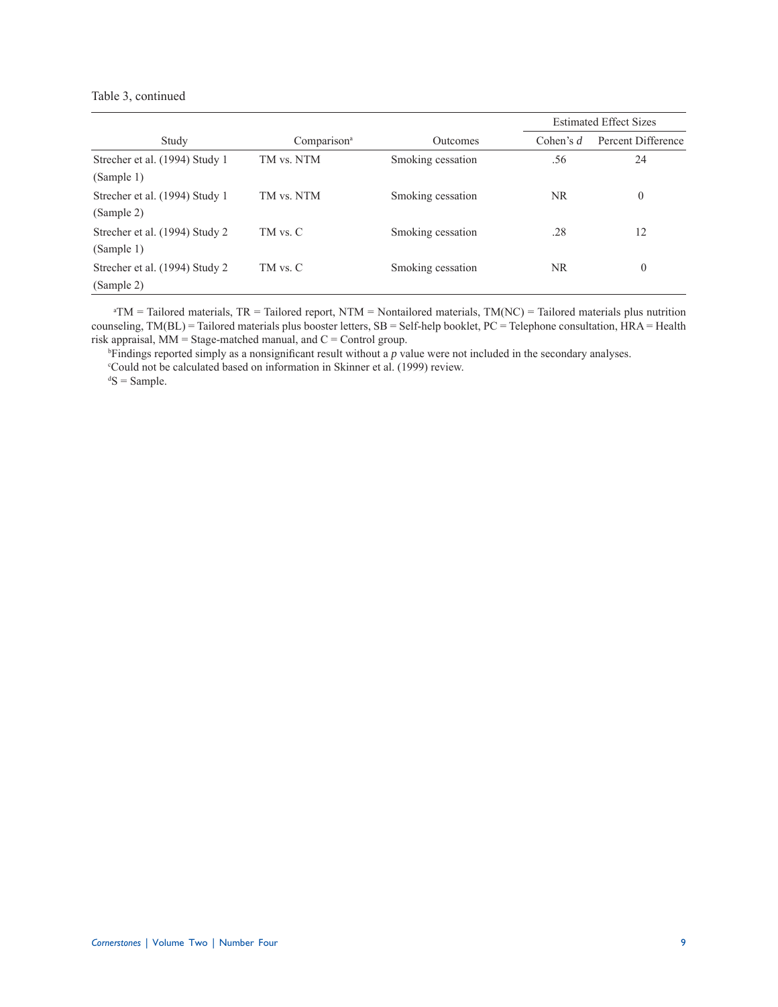#### Table 3, continued

|                                |                         |                   | <b>Estimated Effect Sizes</b> |                    |  |
|--------------------------------|-------------------------|-------------------|-------------------------------|--------------------|--|
| Study                          | Comparison <sup>a</sup> | Outcomes          | Cohen's $d$                   | Percent Difference |  |
| Strecher et al. (1994) Study 1 | TM vs. NTM              | Smoking cessation | .56                           | 24                 |  |
| (Sample 1)                     |                         |                   |                               |                    |  |
| Strecher et al. (1994) Study 1 | TM vs. NTM              | Smoking cessation | <b>NR</b>                     | $\theta$           |  |
| (Sample 2)                     |                         |                   |                               |                    |  |
| Strecher et al. (1994) Study 2 | TM vs. C                | Smoking cessation | .28                           | 12                 |  |
| (Sample 1)                     |                         |                   |                               |                    |  |
| Strecher et al. (1994) Study 2 | TM vs. C                | Smoking cessation | <b>NR</b>                     | $\boldsymbol{0}$   |  |
| (Sample 2)                     |                         |                   |                               |                    |  |

 $A<sup>a</sup>TM =$  Tailored materials, TR = Tailored report, NTM = Nontailored materials, TM(NC) = Tailored materials plus nutrition counseling, TM(BL) = Tailored materials plus booster letters, SB = Self-help booklet, PC = Telephone consultation, HRA = Health risk appraisal,  $MM = Stage-matched \, manual$ , and  $C = Control \, group$ .

<sup>b</sup>Findings reported simply as a nonsignificant result without a *p* value were not included in the secondary analyses. <sup>c</sup>Could not be calculated based on information in Skinner et al. (1999) review.  $dS = Sample$ .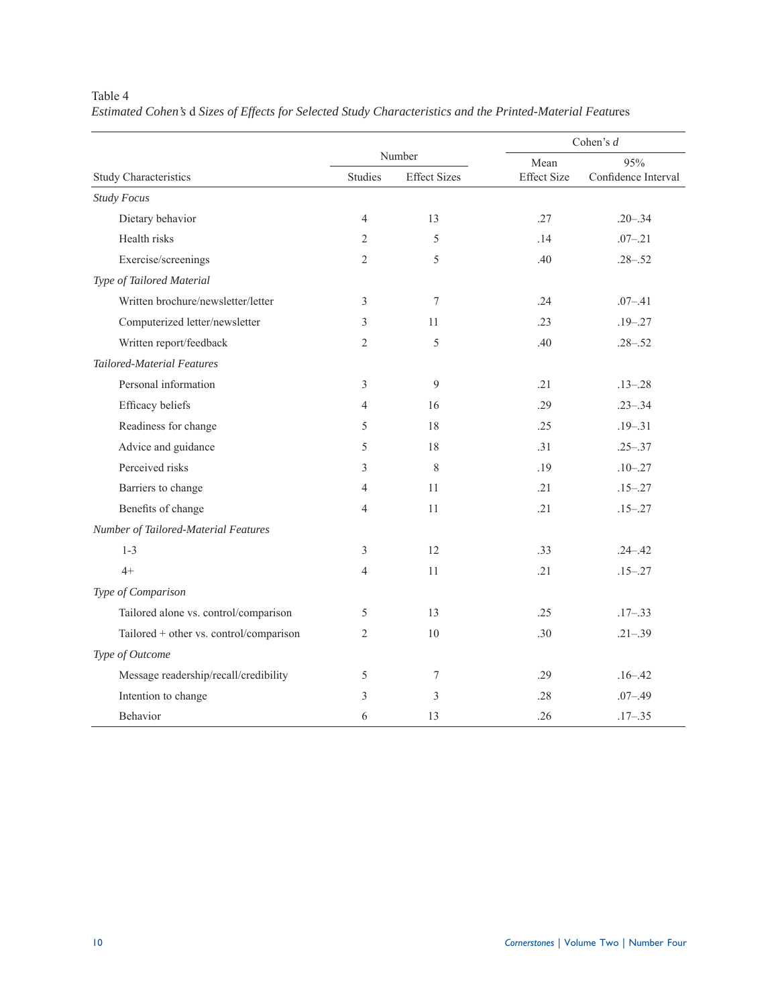|                                         |                |                     | Cohen's $d$        |                     |  |
|-----------------------------------------|----------------|---------------------|--------------------|---------------------|--|
|                                         |                | Number              | Mean               | 95%                 |  |
| <b>Study Characteristics</b>            | Studies        | <b>Effect Sizes</b> | <b>Effect Size</b> | Confidence Interval |  |
| <b>Study Focus</b>                      |                |                     |                    |                     |  |
| Dietary behavior                        | $\overline{4}$ | 13                  | .27                | $.20 - .34$         |  |
| Health risks                            | $\overline{2}$ | 5                   | .14                | $.07 - .21$         |  |
| Exercise/screenings                     | $\overline{2}$ | 5                   | .40                | $.28 - .52$         |  |
| Type of Tailored Material               |                |                     |                    |                     |  |
| Written brochure/newsletter/letter      | 3              | $\boldsymbol{7}$    | .24                | $.07 - .41$         |  |
| Computerized letter/newsletter          | 3              | 11                  | .23                | $.19 - .27$         |  |
| Written report/feedback                 | $\mathfrak{2}$ | 5                   | .40                | $.28 - .52$         |  |
| <b>Tailored-Material Features</b>       |                |                     |                    |                     |  |
| Personal information                    | 3              | 9                   | .21                | $.13 - .28$         |  |
| Efficacy beliefs                        | $\overline{4}$ | 16                  | .29                | $.23 - .34$         |  |
| Readiness for change                    | 5              | 18                  | .25                | $.19 - .31$         |  |
| Advice and guidance                     | 5              | 18                  | .31                | $.25 - .37$         |  |
| Perceived risks                         | 3              | $\,$ 8 $\,$         | .19                | $.10 - .27$         |  |
| Barriers to change                      | 4              | 11                  | .21                | $.15 - .27$         |  |
| Benefits of change                      | $\overline{4}$ | 11                  | .21                | $.15 - .27$         |  |
| Number of Tailored-Material Features    |                |                     |                    |                     |  |
| $1 - 3$                                 | 3              | 12                  | .33                | $.24 - .42$         |  |
| $4+$                                    | $\overline{4}$ | 11                  | .21                | $.15 - .27$         |  |
| Type of Comparison                      |                |                     |                    |                     |  |
| Tailored alone vs. control/comparison   | 5              | 13                  | .25                | $.17 - .33$         |  |
| Tailored + other vs. control/comparison | $\overline{2}$ | 10                  | .30                | $.21 - .39$         |  |
| Type of Outcome                         |                |                     |                    |                     |  |
| Message readership/recall/credibility   | 5              | $\boldsymbol{7}$    | .29                | $.16 - .42$         |  |
| Intention to change                     | 3              | 3                   | .28                | $.07 - .49$         |  |
| <b>Behavior</b>                         | 6              | 13                  | .26                | $.17 - .35$         |  |

# Table 4 *Estimated Cohen's* d *Sizes of Effects for Selected Study Characteristics and the Printed-Material Featu*res